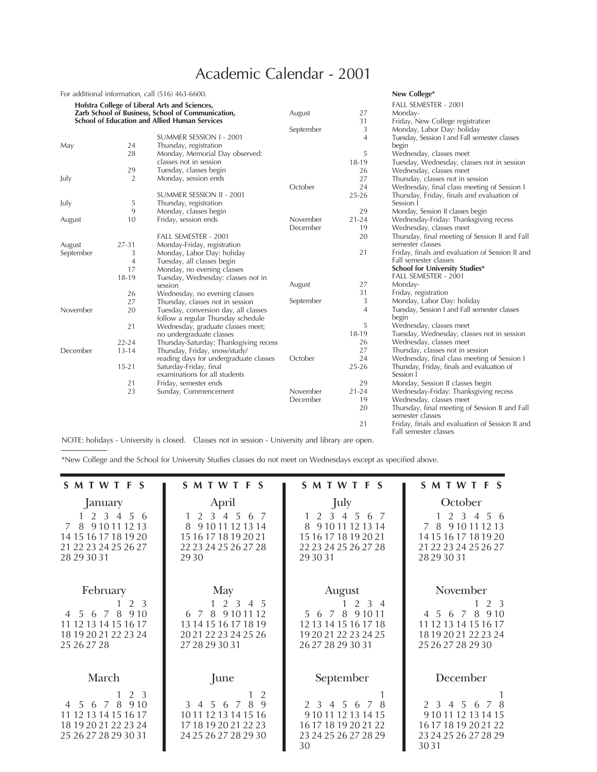## Academic Calendar - 2001

|           |                | For additional information, call (516) 463-6600.        |           |                | New College*                                                       |
|-----------|----------------|---------------------------------------------------------|-----------|----------------|--------------------------------------------------------------------|
|           |                | Hofstra College of Liberal Arts and Sciences,           |           |                | FALL SEMESTER - 2001                                               |
|           |                | Zarb School of Business, School of Communication,       | August    | 27             | Monday-                                                            |
|           |                | <b>School of Education and Allied Human Services</b>    |           | 31             | Friday, New College registration                                   |
|           |                |                                                         | September | 3              | Monday, Labor Day: holiday                                         |
|           |                | SUMMER SESSION I - 2001                                 |           | 4              | Tuesday, Session I and Fall semester classes                       |
| May       | 24             | Thursday, registration                                  |           |                | begin                                                              |
|           | 28             | Monday, Memorial Day observed:                          |           | 5              | Wednesday, classes meet                                            |
|           |                | classes not in session                                  |           | 18-19          | Tuesday, Wednesday, classes not in session                         |
|           | 29             | Tuesday, classes begin                                  |           | 26             | Wednesday, classes meet                                            |
| July      | $\overline{2}$ | Monday, session ends                                    |           | 27             | Thursday, classes not in session                                   |
|           |                |                                                         | October   | 24             | Wednesday, final class meeting of Session I                        |
|           |                | SUMMER SESSION II - 2001                                |           | $25 - 26$      | Thursday, Friday, finals and evaluation of                         |
| July      | 5              | Thursday, registration                                  |           |                | Session I                                                          |
|           | 9              | Monday, classes begin                                   |           | 29             | Monday, Session II classes begin                                   |
| August    | 10             | Friday, session ends                                    | November  | $21 - 24$      | Wednesday-Friday: Thanksgiving recess                              |
|           |                |                                                         | December  | 19             | Wednesday, classes meet                                            |
|           |                | FALL SEMESTER - 2001                                    |           | 20             | Thursday, final meeting of Session II and Fall                     |
| August    | 27-31          | Monday-Friday, registration                             |           |                | semester classes                                                   |
| September | 3              | Monday, Labor Day: holiday                              |           | 21             | Friday, finals and evaluation of Session II and                    |
|           | $\overline{4}$ | Tuesday, all classes begin                              |           |                | Fall semester classes                                              |
|           | 17             | Monday, no evening classes                              |           |                | School for University Studies*                                     |
|           | 18-19          | Tuesday, Wednesday: classes not in                      |           |                | FALL SEMESTER - 2001                                               |
|           |                | session                                                 | August    | 27             | Monday-                                                            |
|           | 26             | Wednesday, no evening classes                           |           | 31             | Friday, registration                                               |
|           | 27             | Thursday, classes not in session                        | September | 3              | Monday, Labor Day: holiday                                         |
| November  | 20             | Tuesday, conversion day, all classes                    |           | $\overline{4}$ | Tuesday, Session I and Fall semester classes                       |
|           |                | follow a regular Thursday schedule                      |           |                | begin                                                              |
|           | 21             | Wednesday, graduate classes meet;                       |           | 5              | Wednesday, classes meet                                            |
|           |                | no undergraduate classes                                |           | 18-19          | Tuesday, Wednesday, classes not in session                         |
|           | $22 - 24$      | Thursday-Saturday: Thanksgiving recess                  |           | 26             | Wednesday, classes meet                                            |
| December  | $13 - 14$      | Thursday, Friday, snow/study/                           |           | 27             | Thursday, classes not in session                                   |
|           |                | reading days for undergraduate classes                  | October   | 24             | Wednesday, final class meeting of Session I                        |
|           | $15 - 21$      | Saturday-Friday, final<br>examinations for all students |           | $25 - 26$      | Thursday, Friday, finals and evaluation of<br>Session 1            |
|           | 21             | Friday, semester ends                                   |           | 29             | Monday, Session II classes begin                                   |
|           | 23             | Sunday, Commencement                                    | November  | $21 - 24$      | Wednesday-Friday: Thanksgiving recess                              |
|           |                |                                                         | December  | 19             | Wednesday, classes meet                                            |
|           |                |                                                         |           | 20             | Thursday, final meeting of Session II and Fall<br>semester classes |
|           |                |                                                         |           | 21             | Friday, finals and evaluation of Session II and                    |

Fall semester classes

NOTE: holidays - University is closed. Classes not in session - University and library are open.

\*New College and the School for University Studies classes do not meet on Wednesdays except as specified above.

| <b>SMTWTFS</b>                                                                                                                | <b>SMTWTFS</b>                                                                                                                              | SMTWTFS                                                                                                       | <b>SMTWTFS</b>                                                                                                       |
|-------------------------------------------------------------------------------------------------------------------------------|---------------------------------------------------------------------------------------------------------------------------------------------|---------------------------------------------------------------------------------------------------------------|----------------------------------------------------------------------------------------------------------------------|
| January<br>1 2 3 4 5 6<br>8 9 10 11 12 13<br>$\overline{7}$<br>14 15 16 17 18 19 20<br>21 22 23 24 25 26 27<br>28 29 30 31    | April<br>2 3 4 5<br>6 7<br>8<br>9 10 11 12 13 14<br>15 16 17 18 19 20 21<br>22 23 24 25 26 27 28<br>2930                                    | July<br>2 3 4 5 6 7<br>9 10 11 12 13 14<br>8<br>15 16 17 18 19 20 21<br>22 23 24 25 26 27 28<br>29 30 31      | October<br>1 2 3 4 5 6<br>7 8 9 10 11 12 13<br>14 15 16 17 18 19 20<br>21 22 23 24 25 26 27<br>28 29 30 31           |
| February<br>2 3<br>8<br>9.10<br>$\overline{7}$<br>-5<br>6<br>11 12 13 14 15 16 17<br>18 19 20 21 22 23 24<br>25 26 27 28      | May<br>1 2 3 4 5<br>7 8 9 10 11 12<br>6<br>13 14 15 16 17 18 19<br>20 21 22 23 24 25 26<br>27 28 29 30 31                                   | August<br>$2 \t3 \t4$<br>5 6 7 8 9 10 11<br>12 13 14 15 16 17 18<br>19 20 21 22 23 24 25<br>26 27 28 29 30 31 | November<br>$1\quad 2\quad 3$<br>4 5 6 7 8 9 10<br>11 12 13 14 15 16 17<br>18 19 20 21 22 23 24<br>25 26 27 28 29 30 |
| March<br>2 3<br>6 7 8<br>9.10<br>$\overline{4}$<br>.5<br>11 12 13 14 15 16 17<br>18 19 20 21 22 23 24<br>25 26 27 28 29 30 31 | June<br>2<br>9<br>3<br>5 <sup>1</sup><br>8<br>$\overline{4}$<br>6 7<br>10 11 12 13 14 15 16<br>17 18 19 20 21 22 23<br>24 25 26 27 28 29 30 | September<br>8<br>2 3 4 5 6<br>7<br>9 10 11 12 13 14 15<br>16 17 18 19 20 21 22<br>23 24 25 26 27 28 29<br>30 | December<br>2 3 4 5 6<br>7 8<br>9 10 11 12 13 14 15<br>16171819202122<br>23 24 25 26 27 28 29<br>3031                |